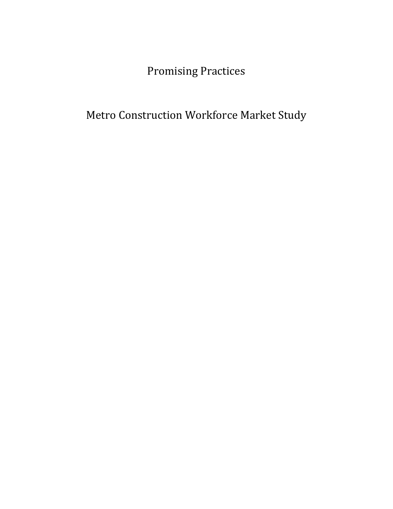Promising Practices

Metro Construction Workforce Market Study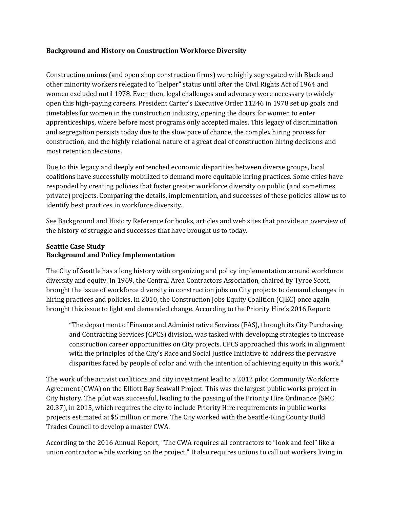# **Background and History on Construction Workforce Diversity**

Construction unions (and open shop construction firms) were highly segregated with Black and other minority workers relegated to "helper" status until after the Civil Rights Act of 1964 and women excluded until 1978. Even then, legal challenges and advocacy were necessary to widely open this high-paying careers. President Carter's Executive Order 11246 in 1978 set up goals and timetables for women in the construction industry, opening the doors for women to enter apprenticeships, where before most programs only accepted males. This legacy of discrimination and segregation persists today due to the slow pace of chance, the complex hiring process for construction, and the highly relational nature of a great deal of construction hiring decisions and most retention decisions.

Due to this legacy and deeply entrenched economic disparities between diverse groups, local coalitions have successfully mobilized to demand more equitable hiring practices. Some cities have responded by creating policies that foster greater workforce diversity on public (and sometimes private) projects. Comparing the details, implementation, and successes of these policies allow us to identify best practices in workforce diversity.

See Background and History Reference for books, articles and web sites that provide an overview of the history of struggle and successes that have brought us to today.

# **Seattle Case Study Background and Policy Implementation**

The City of Seattle has a long history with organizing and policy implementation around workforce diversity and equity. In 1969, the Central Area Contractors Association, chaired by Tyree Scott, brought the issue of workforce diversity in construction jobs on City projects to demand changes in hiring practices and policies. In 2010, the Construction Jobs Equity Coalition (CJEC) once again brought this issue to light and demanded change. According to the Priority Hire's 2016 Report:

"The department of Finance and Administrative Services (FAS), through its City Purchasing and Contracting Services (CPCS) division, was tasked with developing strategies to increase construction career opportunities on City projects. CPCS approached this work in alignment with the principles of the City's Race and Social Justice Initiative to address the pervasive disparities faced by people of color and with the intention of achieving equity in this work."

The work of the activist coalitions and city investment lead to a 2012 pilot Community Workforce Agreement (CWA) on the Elliott Bay Seawall Project. This was the largest public works project in City history. The pilot was successful, leading to the passing of the Priority Hire Ordinance (SMC 20.37), in 2015, which requires the city to include Priority Hire requirements in public works projects estimated at \$5 million or more. The City worked with the Seattle-King County Build Trades Council to develop a master CWA.

According to the 2016 Annual Report, "The CWA requires all contractors to "look and feel" like a union contractor while working on the project." It also requires unions to call out workers living in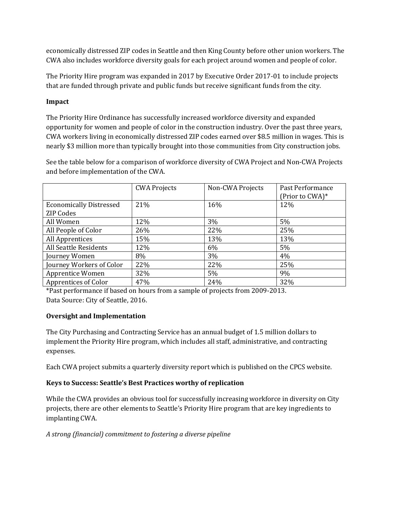economically distressed ZIP codes in Seattle and then King County before other union workers. The CWA also includes workforce diversity goals for each project around women and people of color.

The Priority Hire program was expanded in 2017 by Executive Order 2017-01 to include projects that are funded through private and public funds but receive significant funds from the city.

# **Impact**

The Priority Hire Ordinance has successfully increased workforce diversity and expanded opportunity for women and people of color in the construction industry. Over the past three years, CWA workers living in economically distressed ZIP codes earned over \$8.5 million in wages. This is nearly \$3 million more than typically brought into those communities from City construction jobs.

See the table below for a comparison of workforce diversity of CWA Project and Non-CWA Projects and before implementation of the CWA.

|                                | <b>CWA Projects</b> | Non-CWA Projects | Past Performance<br>(Prior to CWA)* |
|--------------------------------|---------------------|------------------|-------------------------------------|
| <b>Economically Distressed</b> | 21%                 | 16%              | 12%                                 |
| <b>ZIP Codes</b>               |                     |                  |                                     |
| All Women                      | 12%                 | 3%               | 5%                                  |
| All People of Color            | 26%                 | 22%              | 25%                                 |
| All Apprentices                | 15%                 | 13%              | 13%                                 |
| All Seattle Residents          | 12%                 | 6%               | 5%                                  |
| Journey Women                  | 8%                  | 3%               | 4%                                  |
| Journey Workers of Color       | 22%                 | 22%              | 25%                                 |
| <b>Apprentice Women</b>        | 32%                 | $5\%$            | 9%                                  |
| Apprentices of Color           | 47%                 | 24%              | 32%                                 |

\*Past performance if based on hours from a sample of projects from 2009-2013. Data Source: City of Seattle, 2016.

# **Oversight and Implementation**

The City Purchasing and Contracting Service has an annual budget of 1.5 million dollars to implement the Priority Hire program, which includes all staff, administrative, and contracting expenses.

Each CWA project submits a quarterly diversity report which is published on the CPCS website.

# **Keys to Success: Seattle's Best Practices worthy of replication**

While the CWA provides an obvious tool for successfully increasing workforce in diversity on City projects, there are other elements to Seattle's Priority Hire program that are key ingredients to implanting CWA.

*A strong (financial) commitment to fostering a diverse pipeline*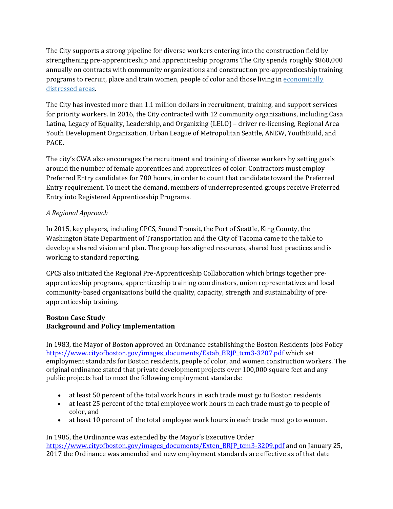The City supports a strong pipeline for diverse workers entering into the construction field by strengthening pre-apprenticeship and apprenticeship programs The City spends roughly \$860,000 annually on contracts with community organizations and construction pre-apprenticeship training programs to recruit, place and train women, people of color and those living in [economically](http://www.seattle.gov/Documents/Departments/FAS/PurchasingAndContracting/Labor/Zip_Codes.pdf)  [distressed areas.](http://www.seattle.gov/Documents/Departments/FAS/PurchasingAndContracting/Labor/Zip_Codes.pdf)

The City has invested more than 1.1 million dollars in recruitment, training, and support services for priority workers. In 2016, the City contracted with 12 community organizations, including Casa Latina, Legacy of Equality, Leadership, and Organizing (LELO) – driver re-licensing, Regional Area Youth Development Organization, Urban League of Metropolitan Seattle, ANEW, YouthBuild, and PACE.

The city's CWA also encourages the recruitment and training of diverse workers by setting goals around the number of female apprentices and apprentices of color. Contractors must employ Preferred Entry candidates for 700 hours, in order to count that candidate toward the Preferred Entry requirement. To meet the demand, members of underrepresented groups receive Preferred Entry into Registered Apprenticeship Programs.

# *A Regional Approach*

In 2015, key players, including CPCS, Sound Transit, the Port of Seattle, King County, the Washington State Department of Transportation and the City of Tacoma came to the table to develop a shared vision and plan. The group has aligned resources, shared best practices and is working to standard reporting.

CPCS also initiated the Regional Pre-Apprenticeship Collaboration which brings together preapprenticeship programs, apprenticeship training coordinators, union representatives and local community-based organizations build the quality, capacity, strength and sustainability of preapprenticeship training.

# **Boston Case Study Background and Policy Implementation**

In 1983, the Mayor of Boston approved an Ordinance establishing the Boston Residents Jobs Policy https://www.cityofboston.gov/images\_documents/Estab\_BRIP\_tcm3-3207.pdf which set employment standards for Boston residents, people of color, and women construction workers. The original ordinance stated that private development projects over 100,000 square feet and any public projects had to meet the following employment standards:

- at least 50 percent of the total work hours in each trade must go to Boston residents
- at least 25 percent of the total employee work hours in each trade must go to people of color, and
- at least 10 percent of the total employee work hours in each trade must go to women.

In 1985, the Ordinance was extended by the Mayor's Executive Order [https://www.cityofboston.gov/images\\_documents/Exten\\_BRJP\\_tcm3-3209.pdf](https://www.cityofboston.gov/images_documents/Exten_BRJP_tcm3-3209.pdf) and on January 25, 2017 the Ordinance was amended and new employment standards are effective as of that date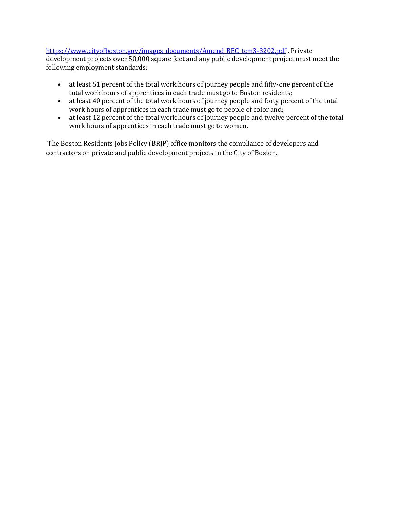# [https://www.cityofboston.gov/images\\_documents/Amend\\_BEC\\_tcm3-3202.pdf](https://www.cityofboston.gov/images_documents/Amend_BEC_tcm3-3202.pdf) . Private

development projects over 50,000 square feet and any public development project must meet the following employment standards:

- at least 51 percent of the total work hours of journey people and fifty-one percent of the total work hours of apprentices in each trade must go to Boston residents;
- at least 40 percent of the total work hours of journey people and forty percent of the total work hours of apprentices in each trade must go to people of color and;
- at least 12 percent of the total work hours of journey people and twelve percent of the total work hours of apprentices in each trade must go to women.

The Boston Residents Jobs Policy (BRJP) office monitors the compliance of developers and contractors on private and public development projects in the City of Boston.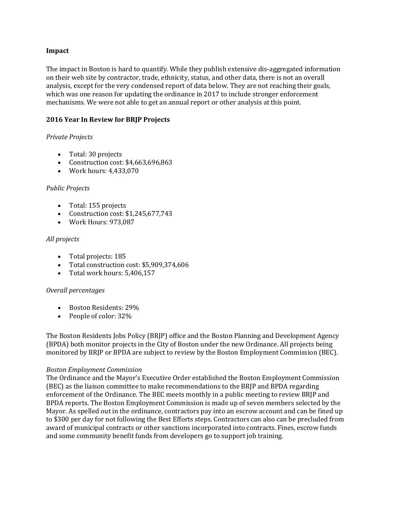#### **Impact**

The impact in Boston is hard to quantify. While they publish extensive dis-aggregated information on their web site by contractor, trade, ethnicity, status, and other data, there is not an overall analysis, except for the very condensed report of data below. They are not reaching their goals, which was one reason for updating the ordinance in 2017 to include stronger enforcement mechanisms. We were not able to get an annual report or other analysis at this point.

#### **2016 Year In Review for BRJP Projects**

#### *Private Projects*

- Total: 30 projects
- Construction cost: \$4,663,696,863
- Work hours: 4,433,070

#### *Public Projects*

- Total: 155 projects
- Construction cost: \$1,245,677,743
- Work Hours: 973,087

# *All projects*

- Total projects: 185
- Total construction cost: \$5,909,374,606
- Total work hours: 5,406,157

#### *Overall percentages*

- Boston Residents: 29%
- People of color: 32%

The Boston Residents Jobs Policy (BRJP) office and the Boston Planning and Development Agency (BPDA) both monitor projects in the City of Boston under the new Ordinance. All projects being monitored by BRJP or BPDA are subject to review by the Boston Employment Commission (BEC).

#### *Boston Employment Commission*

The Ordinance and the Mayor's Executive Order established the Boston Employment Commission (BEC) as the liaison committee to make recommendations to the BRJP and BPDA regarding enforcement of the Ordinance. The BEC meets monthly in a public meeting to review BRJP and BPDA reports. The Boston Employment Commission is made up of seven members selected by the Mayor. As spelled out in the ordinance, contractors pay into an escrow account and can be fined up to \$300 per day for not following the Best Efforts steps. Contractors can also can be precluded from award of municipal contracts or other sanctions incorporated into contracts. Fines, escrow funds and some community benefit funds from developers go to support job training.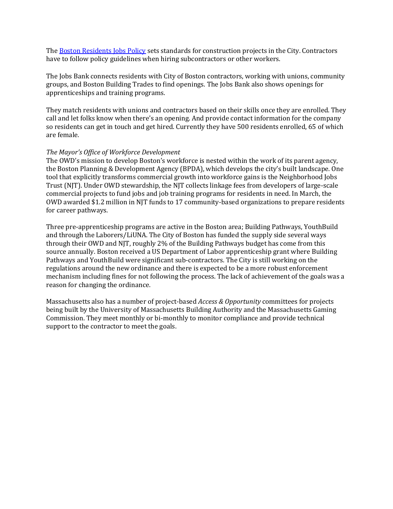Th[e Boston Residents Jobs Policy](https://www.boston.gov/node/2016) sets standards for construction projects in the City. Contractors have to follow policy guidelines when hiring subcontractors or other workers.

The Jobs Bank connects residents with City of Boston contractors, working with unions, community groups, and Boston Building Trades to find openings. The Jobs Bank also shows openings for apprenticeships and training programs.

They match residents with unions and contractors based on their skills once they are enrolled. They call and let folks know when there's an opening. And provide contact information for the company so residents can get in touch and get hired. Currently they have 500 residents enrolled, 65 of which are female.

#### *The Mayor's Office of Workforce Development*

The OWD's mission to develop Boston's workforce is nested within the work of its parent agency, the Boston Planning & Development Agency (BPDA), which develops the city's built landscape. One tool that explicitly transforms commercial growth into workforce gains is the Neighborhood Jobs Trust (NJT). Under OWD stewardship, the NJT collects linkage fees from developers of large-scale commercial projects to fund jobs and job training programs for residents in need. In March, the OWD awarded \$1.2 million in NJT funds to 17 community-based organizations to prepare residents for career pathways.

Three pre-apprenticeship programs are active in the Boston area; Building Pathways, YouthBuild and through the Laborers/LiUNA. The City of Boston has funded the supply side several ways through their OWD and NJT, roughly 2% of the Building Pathways budget has come from this source annually. Boston received a US Department of Labor apprenticeship grant where Building Pathways and YouthBuild were significant sub-contractors. The City is still working on the regulations around the new ordinance and there is expected to be a more robust enforcement mechanism including fines for not following the process. The lack of achievement of the goals was a reason for changing the ordinance.

Massachusetts also has a number of project-based *Access & Opportunity* committees for projects being built by the University of Massachusetts Building Authority and the Massachusetts Gaming Commission. They meet monthly or bi-monthly to monitor compliance and provide technical support to the contractor to meet the goals.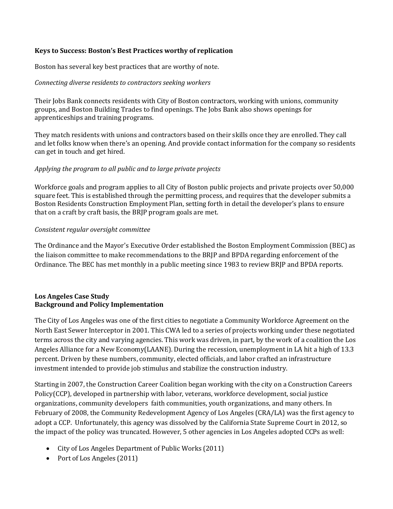#### **Keys to Success: Boston's Best Practices worthy of replication**

Boston has several key best practices that are worthy of note.

#### *Connecting diverse residents to contractors seeking workers*

Their Jobs Bank connects residents with City of Boston contractors, working with unions, community groups, and Boston Building Trades to find openings. The Jobs Bank also shows openings for apprenticeships and training programs.

They match residents with unions and contractors based on their skills once they are enrolled. They call and let folks know when there's an opening. And provide contact information for the company so residents can get in touch and get hired.

#### *Applying the program to all public and to large private projects*

Workforce goals and program applies to all City of Boston public projects and private projects over 50,000 square feet. This is established through the permitting process, and requires that the developer submits a Boston Residents Construction Employment Plan, setting forth in detail the developer's plans to ensure that on a craft by craft basis, the BRJP program goals are met.

#### *Consistent regular oversight committee*

The Ordinance and the Mayor's Executive Order established the Boston Employment Commission (BEC) as the liaison committee to make recommendations to the BRJP and BPDA regarding enforcement of the Ordinance. The BEC has met monthly in a public meeting since 1983 to review BRJP and BPDA reports.

# **Los Angeles Case Study Background and Policy Implementation**

The City of Los Angeles was one of the first cities to negotiate a Community Workforce Agreement on the North East Sewer Interceptor in 2001. This CWA led to a series of projects working under these negotiated terms across the city and varying agencies. This work was driven, in part, by the work of a coalition the Los Angeles Alliance for a New Economy(LAANE). During the recession, unemployment in LA hit a high of 13.3 percent. Driven by these numbers, community, elected officials, and labor crafted an infrastructure investment intended to provide job stimulus and stabilize the construction industry.

Starting in 2007, the Construction Career Coalition began working with the city on a Construction Careers Policy(CCP), developed in partnership with labor, veterans, workforce development, social justice organizations, community developers faith communities, youth organizations, and many others. In February of 2008, the Community Redevelopment Agency of Los Angeles (CRA/LA) was the first agency to adopt a CCP. Unfortunately, this agency was dissolved by the California State Supreme Court in 2012, so the impact of the policy was truncated. However, 5 other agencies in Los Angeles adopted CCPs as well:

- City of Los Angeles Department of Public Works (2011)
- Port of Los Angeles (2011)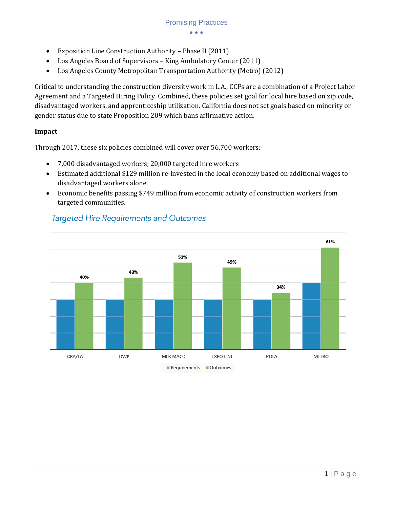- Exposition Line Construction Authority Phase II (2011)
- Los Angeles Board of Supervisors King Ambulatory Center (2011)
- Los Angeles County Metropolitan Transportation Authority (Metro) (2012)

Critical to understanding the construction diversity work in L.A., CCPs are a combination of a Project Labor Agreement and a Targeted Hiring Policy. Combined, these policies set goal for local hire based on zip code, disadvantaged workers, and apprenticeship utilization. California does not set goals based on minority or gender status due to state Proposition 209 which bans affirmative action.

# **Impact**

Through 2017, these six policies combined will cover over 56,700 workers:

- 7,000 disadvantaged workers; 20,000 targeted hire workers
- Estimated additional \$129 million re-invested in the local economy based on additional wages to disadvantaged workers alone.
- Economic benefits passing \$749 million from economic activity of construction workers from targeted communities.



# **Targeted Hire Requirements and Outcomes**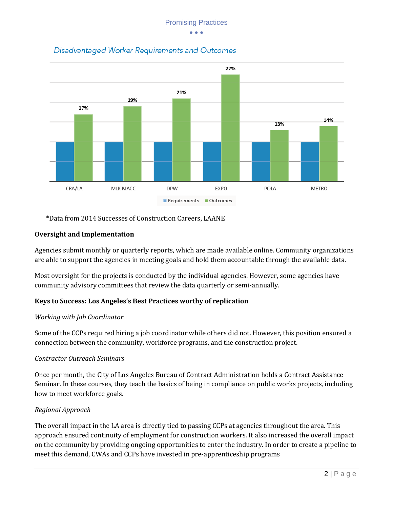

Disadvantaged Worker Requirements and Outcomes

\*Data from 2014 Successes of Construction Careers, LAANE

# **Oversight and Implementation**

Agencies submit monthly or quarterly reports, which are made available online. Community organizations are able to support the agencies in meeting goals and hold them accountable through the available data.

Most oversight for the projects is conducted by the individual agencies. However, some agencies have community advisory committees that review the data quarterly or semi-annually.

# **Keys to Success: Los Angeles's Best Practices worthy of replication**

# *Working with Job Coordinator*

Some of the CCPs required hiring a job coordinator while others did not. However, this position ensured a connection between the community, workforce programs, and the construction project.

# *Contractor Outreach Seminars*

Once per month, the City of Los Angeles Bureau of Contract Administration holds a Contract Assistance Seminar. In these courses, they teach the basics of being in compliance on public works projects, including how to meet workforce goals.

# *Regional Approach*

The overall impact in the LA area is directly tied to passing CCPs at agencies throughout the area. This approach ensured continuity of employment for construction workers. It also increased the overall impact on the community by providing ongoing opportunities to enter the industry. In order to create a pipeline to meet this demand, CWAs and CCPs have invested in pre-apprenticeship programs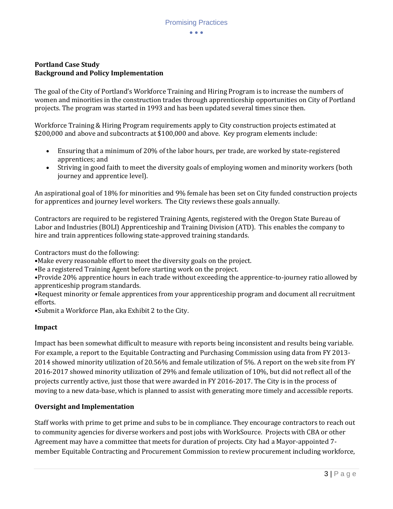# **Portland Case Study Background and Policy Implementation**

The goal of the City of Portland's Workforce Training and Hiring Program is to increase the numbers of women and minorities in the construction trades through apprenticeship opportunities on City of Portland projects. The program was started in 1993 and has been updated several times since then.

Workforce Training & Hiring Program requirements apply to City construction projects estimated at \$200,000 and above and subcontracts at \$100,000 and above. Key program elements include:

- Ensuring that a minimum of 20% of the labor hours, per trade, are worked by state-registered apprentices; and
- Striving in good faith to meet the diversity goals of employing women and minority workers (both journey and apprentice level).

An aspirational goal of 18% for minorities and 9% female has been set on City funded construction projects for apprentices and journey level workers. The City reviews these goals annually.

Contractors are required to be registered Training Agents, registered with the Oregon State Bureau of Labor and Industries (BOLI) Apprenticeship and Training Division (ATD). This enables the company to hire and train apprentices following state-approved training standards.

Contractors must do the following:

•Make every reasonable effort to meet the diversity goals on the project.

•Be a registered Training Agent before starting work on the project.

•Provide 20% apprentice hours in each trade without exceeding the apprentice-to-journey ratio allowed by apprenticeship program standards.

•Request minority or female apprentices from your apprenticeship program and document all recruitment efforts.

•Submit a Workforce Plan, aka Exhibit 2 to the City.

# **Impact**

Impact has been somewhat difficult to measure with reports being inconsistent and results being variable. For example, a report to the Equitable Contracting and Purchasing Commission using data from FY 2013- 2014 showed minority utilization of 20.56% and female utilization of 5%. A report on the web site from FY 2016-2017 showed minority utilization of 29% and female utilization of 10%, but did not reflect all of the projects currently active, just those that were awarded in FY 2016-2017. The City is in the process of moving to a new data-base, which is planned to assist with generating more timely and accessible reports.

# **Oversight and Implementation**

Staff works with prime to get prime and subs to be in compliance. They encourage contractors to reach out to community agencies for diverse workers and post jobs with WorkSource. Projects with CBA or other Agreement may have a committee that meets for duration of projects. City had a Mayor-appointed 7 member Equitable Contracting and Procurement Commission to review procurement including workforce,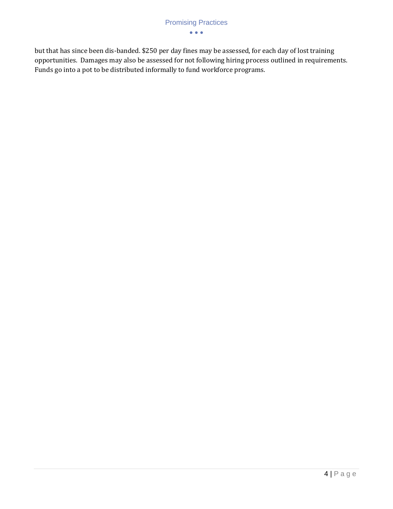but that has since been dis-banded. \$250 per day fines may be assessed, for each day of lost training opportunities. Damages may also be assessed for not following hiring process outlined in requirements. Funds go into a pot to be distributed informally to fund workforce programs.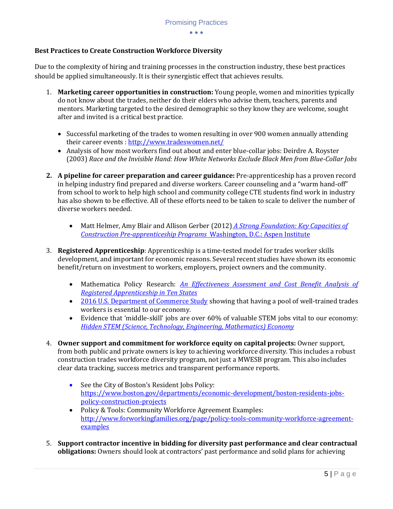# **Best Practices to Create Construction Workforce Diversity**

Due to the complexity of hiring and training processes in the construction industry, these best practices should be applied simultaneously. It is their synergistic effect that achieves results.

- 1. **Marketing career opportunities in construction:** Young people, women and minorities typically do not know about the trades, neither do their elders who advise them, teachers, parents and mentors. Marketing targeted to the desired demographic so they know they are welcome, sought after and invited is a critical best practice.
	- Successful marketing of the trades to women resulting in over 900 women annually attending their career events :<http://www.tradeswomen.net/>
	- Analysis of how most workers find out about and enter blue-collar jobs: Deirdre A. Royster (2003) *Race and the Invisible Hand: How White Networks Exclude Black Men from Blue-Collar Jobs*
- **2. A pipeline for career preparation and career guidance:** Pre-apprenticeship has a proven record in helping industry find prepared and diverse workers. Career counseling and a "warm hand-off" from school to work to help high school and community college CTE students find work in industry has also shown to be effective. All of these efforts need to be taken to scale to deliver the number of diverse workers needed.
	- [Matt Helmer, Amy Blair and Allison Gerber \(2012\)](https://www.aspeninstitute.org/publications/strong-foundation-key-capacities-construction-pre-apprenticeship-programs/) *A Strong Foundation: Key Capacities of [Construction Pre-apprenticeship Programs](https://www.aspeninstitute.org/publications/strong-foundation-key-capacities-construction-pre-apprenticeship-programs/)* Washington, D.C.: Aspen Institute
- 3. **Registered Apprenticeship**: Apprenticeship is a time-tested model for trades worker skills development, and important for economic reasons. Several recent studies have shown its economic benefit/return on investment to workers, employers, project owners and the community.
	- Mathematica Policy Research: *[An Effectiveness Assessment and Cost Benefit Analysis of](https://www.mathematica-mpr.com/our-publications-and-findings/publications/an-effectiveness-assessment-and-costbenefit-analysis-of-registered-apprenticeship-in-10-states)  [Registered Apprenticeship in Ten States](https://www.mathematica-mpr.com/our-publications-and-findings/publications/an-effectiveness-assessment-and-costbenefit-analysis-of-registered-apprenticeship-in-10-states)*
	- [2016 U.S. Department of Commerce Study](http://www.esa.gov/reports/benefits-and-costs-apprenticeships-business-perspective) showing that having a pool of well-trained trades workers is essential to our economy.
	- Evidence that 'middle-skill' jobs are over 60% of valuable STEM jobs vital to our economy: *[Hidden STEM \(Science, Technology, Engineering, Mathematics\) Economy](https://www.brookings.edu/research/the-hidden-stem-economy/)*
- 4. **Owner support and commitment for workforce equity on capital projects:** Owner support, from both public and private owners is key to achieving workforce diversity. This includes a robust construction trades workforce diversity program, not just a MWESB program. This also includes clear data tracking, success metrics and transparent performance reports.
	- See the City of Boston's Resident Jobs Policy: https://www.boston.gov/departments/economic-development/boston-residents-jobspolicy-construction-projects
	- Policy & Tools: Community Workforce Agreement Examples: [http://www.forworkingfamilies.org/page/policy-tools-community-workforce-agreement](http://www.forworkingfamilies.org/page/policy-tools-community-workforce-agreement-examples)[examples](http://www.forworkingfamilies.org/page/policy-tools-community-workforce-agreement-examples)
- 5. **Support contractor incentive in bidding for diversity past performance and clear contractual obligations:** Owners should look at contractors' past performance and solid plans for achieving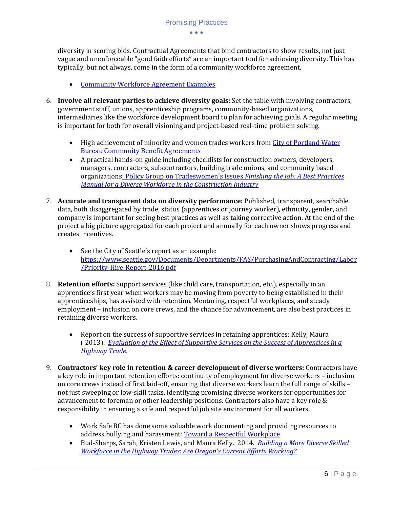diversity in scoring bids. Contractual Agreements that bind contractors to show results, not just vague and unenforceable "good faith efforts" are an important tool for achieving diversity. This has typically, but not always, come in the form of a community workforce agreement.

- [Community Workforce Agreement Examples](http://www.forworkingfamilies.org/page/policy-tools-community-workforce-agreement-examples)
- 6. **Involve all relevant parties to achieve diversity goals:** Set the table with involving contractors, government staff, unions, apprenticeship programs, community-based organizations, intermediaries like the workforce development board to plan for achieving goals. A regular meeting is important for both for overall visioning and project-based real-time problem solving.
	- High achievement of minority and women trades workers from City of Portland Water [Bureau Community Benefit Agreements](http://www.portlandcbapilotprojects.com/)
	- A practical hands-on guide including checklists for construction owners, developers, managers, contractors, subcontractors, building trade unions, and community based organizations[: Policy Group on Tradeswomen's Issues](https://drive.google.com/file/d/0B8nNJC45KcdfVnVZUHFndml1VUU/view) *Finishing the Job: A Best Practices [Manual for a Diverse Workforce in the Construction Industry](https://drive.google.com/file/d/0B8nNJC45KcdfVnVZUHFndml1VUU/view)*
- 7. **Accurate and transparent data on diversity performance:** Published, transparent, searchable data, both disaggregated by trade, status (apprentices or journey worker), ethnicity, gender, and company is important for seeing best practices as well as taking corrective action. At the end of the project a big picture aggregated for each project and annually for each owner shows progress and creates incentives.
	- See the City of Seattle's report as an example: [https://www.seattle.gov/Documents/Departments/FAS/PurchasingAndContracting/Labor](https://www.seattle.gov/Documents/Departments/FAS/PurchasingAndContracting/Labor/Priority-Hire-Report-2016.pdf) [/Priority-Hire-Report-2016.pdf](https://www.seattle.gov/Documents/Departments/FAS/PurchasingAndContracting/Labor/Priority-Hire-Report-2016.pdf)
- 8. **Retention efforts:** Support services (like child care, transportation, etc.), especially in an apprentice's first year when workers may be moving from poverty to being established in their apprenticeships, has assisted with retention. Mentoring, respectful workplaces, and steady employment – inclusion on core crews, and the chance for advancement, are also best practices in retaining diverse workers.
	- Report on the success of supportive services in retaining apprentices: Kelly, Maura ( 2013). *[Evaluation of the Effect of Supportive Services on the Success of Apprentices in a](http://www.pdx.edu/sociology/sites/www.pdx.edu.sociology/files/Evaluation%20of%20the%20Effect%20of%20Supportive%20Services%20FINAL%20REPORT.pdf)  [Highway Trade.](http://www.pdx.edu/sociology/sites/www.pdx.edu.sociology/files/Evaluation%20of%20the%20Effect%20of%20Supportive%20Services%20FINAL%20REPORT.pdf)*
- 9. **Contractors' key role in retention & career development of diverse workers:** Contractors have a key role in important retention efforts: continuity of employment for diverse workers – inclusion on core crews instead of first laid-off, ensuring that diverse workers learn the full range of skills – not just sweeping or low-skill tasks, identifying promising diverse workers for opportunities for advancement to foreman or other leadership positions. Contractors also have a key role & responsibility in ensuring a safe and respectful job site environment for all workers.
	- Work Safe BC has done some valuable work documenting and providing resources to address bullying and harassment[: Toward a Respectful Workplace](https://www.worksafebc.com/en/resources/health-safety/books-guides/a-handbook-on-preventing-and-addressing-workplace-bullying-and-harassment?lang=en)
	- Bud-Sharps, Sarah, Kristen Lewis, and Maura Kelly. 2014. *[Building a More Diverse Skilled](https://www.pdx.edu/sociology/sites/www.pdx.edu.sociology/files/Building%20a%20More%20Diverse%20Skilled%20Workforce%20in%20the%20Highway%20Trades%20FINAL%20REPORT.pdf)  [Workforce in the Highway Trades: Are Oregon's Current Efforts Working?](https://www.pdx.edu/sociology/sites/www.pdx.edu.sociology/files/Building%20a%20More%20Diverse%20Skilled%20Workforce%20in%20the%20Highway%20Trades%20FINAL%20REPORT.pdf)*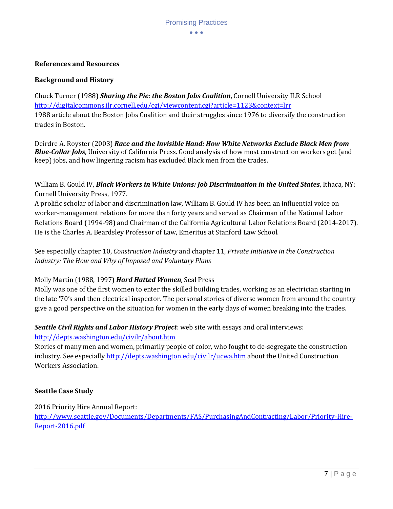#### **References and Resources**

#### **Background and History**

Chuck Turner (1988) *Sharing the Pie: the Boston Jobs Coalition*, Cornell University ILR School <http://digitalcommons.ilr.cornell.edu/cgi/viewcontent.cgi?article=1123&context=lrr> 1988 article about the Boston Jobs Coalition and their struggles since 1976 to diversify the construction trades in Boston.

Deirdre A. Royster (2003) *Race and the Invisible Hand: How White Networks Exclude Black Men from Blue-Collar Jobs*, University of California Press. Good analysis of how most construction workers get (and keep) jobs, and how lingering racism has excluded Black men from the trades.

William B. Gould IV, *Black Workers in White Unions: Job Discrimination in the United States*, Ithaca, NY: Cornell University Press, 1977.

A prolific scholar of labor and discrimination law, William B. Gould IV has been an influential voice on worker-management relations for more than forty years and served as Chairman of the National Labor Relations Board (1994-98) and Chairman of the California Agricultural Labor Relations Board (2014-2017). He is the Charles A. Beardsley Professor of Law, Emeritus at Stanford Law School.

See especially chapter 10, *Construction Industry* and chapter 11, *Private Initiative in the Construction Industry: The How and Why of Imposed and Voluntary Plans*

#### Molly Martin (1988, 1997) *Hard Hatted Women,* Seal Press

Molly was one of the first women to enter the skilled building trades, working as an electrician starting in the late '70's and then electrical inspector. The personal stories of diverse women from around the country give a good perspective on the situation for women in the early days of women breaking into the trades.

#### *Seattle Civil Rights and Labor History Project*: web site with essays and oral interviews: <http://depts.washington.edu/civilr/about.htm>

Stories of many men and women, primarily people of color, who fought to de-segregate the construction industry. See especially<http://depts.washington.edu/civilr/ucwa.htm> about the United Construction Workers Association.

#### **Seattle Case Study**

2016 Priority Hire Annual Report:

[http://www.seattle.gov/Documents/Departments/FAS/PurchasingAndContracting/Labor/Priority-Hire-](http://www.seattle.gov/Documents/Departments/FAS/PurchasingAndContracting/Labor/Priority-Hire-Report-2016.pdf)[Report-2016.pdf](http://www.seattle.gov/Documents/Departments/FAS/PurchasingAndContracting/Labor/Priority-Hire-Report-2016.pdf)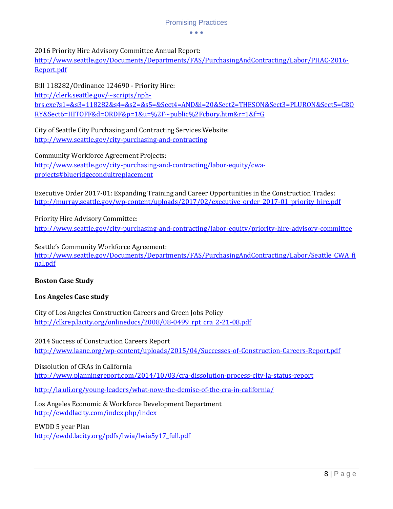# Promising Practices

 $\bullet$   $\bullet$   $\bullet$ 

# 2016 Priority Hire Advisory Committee Annual Report:

[http://www.seattle.gov/Documents/Departments/FAS/PurchasingAndContracting/Labor/PHAC-2016-](http://www.seattle.gov/Documents/Departments/FAS/PurchasingAndContracting/Labor/PHAC-2016-Report.pdf) [Report.pdf](http://www.seattle.gov/Documents/Departments/FAS/PurchasingAndContracting/Labor/PHAC-2016-Report.pdf)

Bill 118282/Ordinance 124690 - Priority Hire:

[http://clerk.seattle.gov/~scripts/nph](http://clerk.seattle.gov/~scripts/nph-brs.exe?s1=&s3=118282&s4=&s2=&s5=&Sect4=AND&l=20&Sect2=THESON&Sect3=PLURON&Sect5=CBORY&Sect6=HITOFF&d=ORDF&p=1&u=%2F~public%2Fcbory.htm&r=1&f=G)[brs.exe?s1=&s3=118282&s4=&s2=&s5=&Sect4=AND&l=20&Sect2=THESON&Sect3=PLURON&Sect5=CBO](http://clerk.seattle.gov/~scripts/nph-brs.exe?s1=&s3=118282&s4=&s2=&s5=&Sect4=AND&l=20&Sect2=THESON&Sect3=PLURON&Sect5=CBORY&Sect6=HITOFF&d=ORDF&p=1&u=%2F~public%2Fcbory.htm&r=1&f=G) [RY&Sect6=HITOFF&d=ORDF&p=1&u=%2F~public%2Fcbory.htm&r=1&f=G](http://clerk.seattle.gov/~scripts/nph-brs.exe?s1=&s3=118282&s4=&s2=&s5=&Sect4=AND&l=20&Sect2=THESON&Sect3=PLURON&Sect5=CBORY&Sect6=HITOFF&d=ORDF&p=1&u=%2F~public%2Fcbory.htm&r=1&f=G)

City of Seattle City Purchasing and Contracting Services Website: <http://www.seattle.gov/city-purchasing-and-contracting>

Community Workforce Agreement Projects: [http://www.seattle.gov/city-purchasing-and-contracting/labor-equity/cwa](http://www.seattle.gov/city-purchasing-and-contracting/labor-equity/cwa-projects#blueridgeconduitreplacement)[projects#blueridgeconduitreplacement](http://www.seattle.gov/city-purchasing-and-contracting/labor-equity/cwa-projects#blueridgeconduitreplacement)

Executive Order 2017-01: Expanding Training and Career Opportunities in the Construction Trades: [http://murray.seattle.gov/wp-content/uploads/2017/02/executive\\_order\\_2017-01\\_priority\\_hire.pdf](http://murray.seattle.gov/wp-content/uploads/2017/02/executive_order_2017-01_priority_hire.pdf)

Priority Hire Advisory Committee: <http://www.seattle.gov/city-purchasing-and-contracting/labor-equity/priority-hire-advisory-committee>

Seattle's Community Workforce Agreement: [http://www.seattle.gov/Documents/Departments/FAS/PurchasingAndContracting/Labor/Seattle\\_CWA\\_fi](http://www.seattle.gov/Documents/Departments/FAS/PurchasingAndContracting/Labor/Seattle_CWA_final.pdf) [nal.pdf](http://www.seattle.gov/Documents/Departments/FAS/PurchasingAndContracting/Labor/Seattle_CWA_final.pdf)

# **Boston Case Study**

# **Los Angeles Case study**

City of Los Angeles Construction Careers and Green Jobs Policy [http://clkrep.lacity.org/onlinedocs/2008/08-0499\\_rpt\\_cra\\_2-21-08.pdf](http://clkrep.lacity.org/onlinedocs/2008/08-0499_rpt_cra_2-21-08.pdf)

2014 Success of Construction Careers Report <http://www.laane.org/wp-content/uploads/2015/04/Successes-of-Construction-Careers-Report.pdf>

Dissolution of CRAs in California <http://www.planningreport.com/2014/10/03/cra-dissolution-process-city-la-status-report>

<http://la.uli.org/young-leaders/what-now-the-demise-of-the-cra-in-california/>

Los Angeles Economic & Workforce Development Department <http://ewddlacity.com/index.php/index>

EWDD 5 year Plan

[http://ewdd.lacity.org/pdfs/lwia/lwia5y17\\_full.pdf](http://ewdd.lacity.org/pdfs/lwia/lwia5y17_full.pdf)